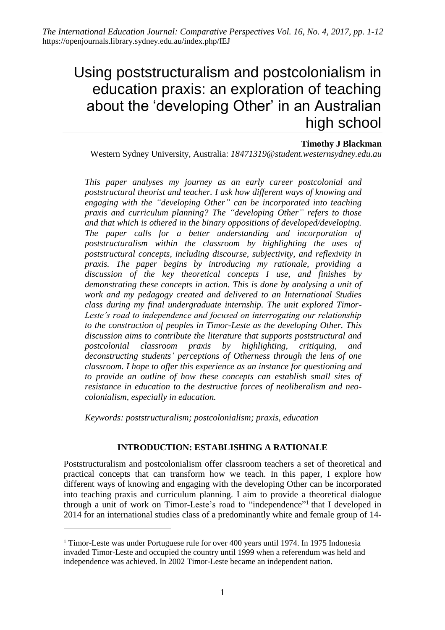# Using poststructuralism and postcolonialism in education praxis: an exploration of teaching about the 'developing Other' in an Australian high school

## **Timothy J Blackman**

Western Sydney University, Australia: *18471319@student.westernsydney.edu.au*

*This paper analyses my journey as an early career postcolonial and poststructural theorist and teacher. I ask how different ways of knowing and engaging with the "developing Other" can be incorporated into teaching praxis and curriculum planning? The "developing Other" refers to those and that which is othered in the binary oppositions of developed/developing. The paper calls for a better understanding and incorporation of poststructuralism within the classroom by highlighting the uses of poststructural concepts, including discourse, subjectivity, and reflexivity in praxis. The paper begins by introducing my rationale, providing a discussion of the key theoretical concepts I use, and finishes by demonstrating these concepts in action. This is done by analysing a unit of work and my pedagogy created and delivered to an International Studies class during my final undergraduate internship. The unit explored Timor-Leste's road to independence and focused on interrogating our relationship to the construction of peoples in Timor-Leste as the developing Other. This discussion aims to contribute the literature that supports poststructural and postcolonial classroom praxis by highlighting, critiquing, and deconstructing students' perceptions of Otherness through the lens of one classroom. I hope to offer this experience as an instance for questioning and to provide an outline of how these concepts can establish small sites of resistance in education to the destructive forces of neoliberalism and neocolonialism, especially in education.*

*Keywords: poststructuralism; postcolonialism; praxis, education*

## **INTRODUCTION: ESTABLISHING A RATIONALE**

Poststructuralism and postcolonialism offer classroom teachers a set of theoretical and practical concepts that can transform how we teach. In this paper, I explore how different ways of knowing and engaging with the developing Other can be incorporated into teaching praxis and curriculum planning. I aim to provide a theoretical dialogue through a unit of work on Timor-Leste's road to "independence"<sup>1</sup> that I developed in 2014 for an international studies class of a predominantly white and female group of 14-

-

<sup>&</sup>lt;sup>1</sup> Timor-Leste was under Portuguese rule for over 400 years until 1974. In 1975 Indonesia invaded Timor-Leste and occupied the country until 1999 when a referendum was held and independence was achieved. In 2002 Timor-Leste became an independent nation.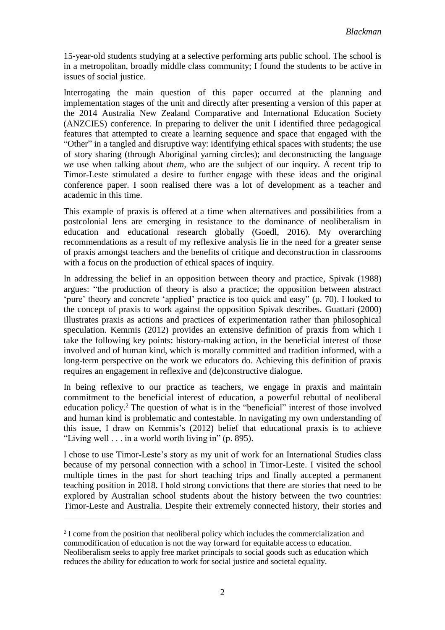15-year-old students studying at a selective performing arts public school. The school is in a metropolitan, broadly middle class community; I found the students to be active in issues of social justice.

Interrogating the main question of this paper occurred at the planning and implementation stages of the unit and directly after presenting a version of this paper at the 2014 Australia New Zealand Comparative and International Education Society (ANZCIES) conference. In preparing to deliver the unit I identified three pedagogical features that attempted to create a learning sequence and space that engaged with the "Other" in a tangled and disruptive way: identifying ethical spaces with students; the use of story sharing (through Aboriginal yarning circles); and deconstructing the language *we* use when talking about *them,* who are the subject of our inquiry. A recent trip to Timor-Leste stimulated a desire to further engage with these ideas and the original conference paper. I soon realised there was a lot of development as a teacher and academic in this time.

This example of praxis is offered at a time when alternatives and possibilities from a postcolonial lens are emerging in resistance to the dominance of neoliberalism in education and educational research globally (Goedl, 2016). My overarching recommendations as a result of my reflexive analysis lie in the need for a greater sense of praxis amongst teachers and the benefits of critique and deconstruction in classrooms with a focus on the production of ethical spaces of inquiry.

In addressing the belief in an opposition between theory and practice, Spivak (1988) argues: "the production of theory is also a practice; the opposition between abstract 'pure' theory and concrete 'applied' practice is too quick and easy" (p. 70). I looked to the concept of praxis to work against the opposition Spivak describes. Guattari (2000) illustrates praxis as actions and practices of experimentation rather than philosophical speculation. Kemmis (2012) provides an extensive definition of praxis from which I take the following key points: history-making action, in the beneficial interest of those involved and of human kind, which is morally committed and tradition informed, with a long-term perspective on the work we educators do. Achieving this definition of praxis requires an engagement in reflexive and (de)constructive dialogue.

In being reflexive to our practice as teachers, we engage in praxis and maintain commitment to the beneficial interest of education, a powerful rebuttal of neoliberal education policy.<sup>2</sup> The question of what is in the "beneficial" interest of those involved and human kind is problematic and contestable. In navigating my own understanding of this issue, I draw on Kemmis's (2012) belief that educational praxis is to achieve "Living well  $\ldots$  in a world worth living in" (p. 895).

I chose to use Timor-Leste's story as my unit of work for an International Studies class because of my personal connection with a school in Timor-Leste. I visited the school multiple times in the past for short teaching trips and finally accepted a permanent teaching position in 2018. I hold strong convictions that there are stories that need to be explored by Australian school students about the history between the two countries: Timor-Leste and Australia. Despite their extremely connected history, their stories and

1

<sup>&</sup>lt;sup>2</sup> I come from the position that neoliberal policy which includes the commercialization and commodification of education is not the way forward for equitable access to education. Neoliberalism seeks to apply free market principals to social goods such as education which reduces the ability for education to work for social justice and societal equality.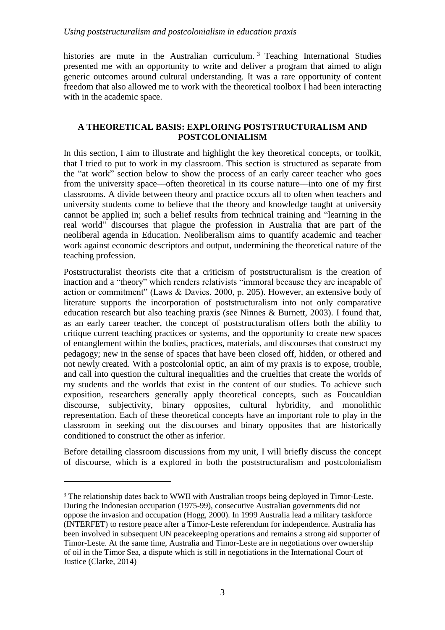histories are mute in the Australian curriculum.<sup>3</sup> Teaching International Studies presented me with an opportunity to write and deliver a program that aimed to align generic outcomes around cultural understanding. It was a rare opportunity of content freedom that also allowed me to work with the theoretical toolbox I had been interacting with in the academic space.

# **A THEORETICAL BASIS: EXPLORING POSTSTRUCTURALISM AND POSTCOLONIALISM**

In this section, I aim to illustrate and highlight the key theoretical concepts, or toolkit, that I tried to put to work in my classroom. This section is structured as separate from the "at work" section below to show the process of an early career teacher who goes from the university space—often theoretical in its course nature—into one of my first classrooms. A divide between theory and practice occurs all to often when teachers and university students come to believe that the theory and knowledge taught at university cannot be applied in; such a belief results from technical training and "learning in the real world" discourses that plague the profession in Australia that are part of the neoliberal agenda in Education. Neoliberalism aims to quantify academic and teacher work against economic descriptors and output, undermining the theoretical nature of the teaching profession.

Poststructuralist theorists cite that a criticism of poststructuralism is the creation of inaction and a "theory" which renders relativists "immoral because they are incapable of action or commitment" (Laws & Davies, 2000, p. 205). However, an extensive body of literature supports the incorporation of poststructuralism into not only comparative education research but also teaching praxis (see Ninnes & Burnett, 2003). I found that, as an early career teacher, the concept of poststructuralism offers both the ability to critique current teaching practices or systems, and the opportunity to create new spaces of entanglement within the bodies, practices, materials, and discourses that construct my pedagogy; new in the sense of spaces that have been closed off, hidden, or othered and not newly created. With a postcolonial optic, an aim of my praxis is to expose, trouble, and call into question the cultural inequalities and the cruelties that create the worlds of my students and the worlds that exist in the content of our studies. To achieve such exposition, researchers generally apply theoretical concepts, such as Foucauldian discourse, subjectivity, binary opposites, cultural hybridity, and monolithic representation. Each of these theoretical concepts have an important role to play in the classroom in seeking out the discourses and binary opposites that are historically conditioned to construct the other as inferior.

Before detailing classroom discussions from my unit, I will briefly discuss the concept of discourse, which is a explored in both the poststructuralism and postcolonialism

<u>.</u>

<sup>&</sup>lt;sup>3</sup> The relationship dates back to WWII with Australian troops being deployed in Timor-Leste. During the Indonesian occupation (1975-99), consecutive Australian governments did not oppose the invasion and occupation (Hogg, 2000). In 1999 Australia lead a military taskforce (INTERFET) to restore peace after a Timor-Leste referendum for independence. Australia has been involved in subsequent UN peacekeeping operations and remains a strong aid supporter of Timor-Leste. At the same time, Australia and Timor-Leste are in negotiations over ownership of oil in the Timor Sea, a dispute which is still in negotiations in the International Court of Justice (Clarke, 2014)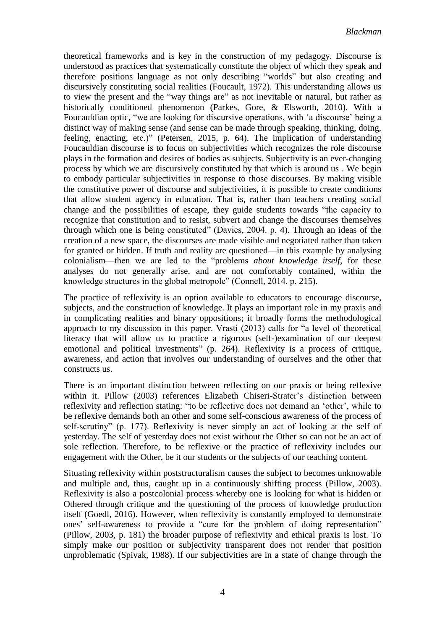theoretical frameworks and is key in the construction of my pedagogy. Discourse is understood as practices that systematically constitute the object of which they speak and therefore positions language as not only describing "worlds" but also creating and discursively constituting social realities (Foucault, 1972). This understanding allows us to view the present and the "way things are" as not inevitable or natural, but rather as historically conditioned phenomenon (Parkes, Gore, & Elsworth, 2010). With a Foucauldian optic, "we are looking for discursive operations, with 'a discourse' being a distinct way of making sense (and sense can be made through speaking, thinking, doing, feeling, enacting, etc.)" (Petersen, 2015, p. 64). The implication of understanding Foucauldian discourse is to focus on subjectivities which recognizes the role discourse plays in the formation and desires of bodies as subjects. Subjectivity is an ever-changing process by which we are discursively constituted by that which is around us . We begin to embody particular subjectivities in response to those discourses. By making visible the constitutive power of discourse and subjectivities, it is possible to create conditions that allow student agency in education. That is, rather than teachers creating social change and the possibilities of escape, they guide students towards "the capacity to recognize that constitution and to resist, subvert and change the discourses themselves through which one is being constituted" (Davies, 2004. p. 4). Through an ideas of the creation of a new space, the discourses are made visible and negotiated rather than taken for granted or hidden. If truth and reality are questioned—in this example by analysing colonialism––then we are led to the "problems *about knowledge itself,* for these analyses do not generally arise, and are not comfortably contained, within the knowledge structures in the global metropole" (Connell, 2014. p. 215).

The practice of reflexivity is an option available to educators to encourage discourse, subjects, and the construction of knowledge. It plays an important role in my praxis and in complicating realities and binary oppositions; it broadly forms the methodological approach to my discussion in this paper. Vrasti (2013) calls for "a level of theoretical literacy that will allow us to practice a rigorous (self-)examination of our deepest emotional and political investments" (p. 264). Reflexivity is a process of critique, awareness, and action that involves our understanding of ourselves and the other that constructs us.

There is an important distinction between reflecting on our praxis or being reflexive within it. Pillow (2003) references Elizabeth Chiseri-Strater's distinction between reflexivity and reflection stating: "to be reflective does not demand an 'other', while to be reflexive demands both an other and some self-conscious awareness of the process of self-scrutiny" (p. 177). Reflexivity is never simply an act of looking at the self of yesterday. The self of yesterday does not exist without the Other so can not be an act of sole reflection. Therefore, to be reflexive or the practice of reflexivity includes our engagement with the Other, be it our students or the subjects of our teaching content.

Situating reflexivity within poststructuralism causes the subject to becomes unknowable and multiple and, thus, caught up in a continuously shifting process (Pillow, 2003). Reflexivity is also a postcolonial process whereby one is looking for what is hidden or Othered through critique and the questioning of the process of knowledge production itself (Goedl, 2016). However, when reflexivity is constantly employed to demonstrate ones' self-awareness to provide a "cure for the problem of doing representation" (Pillow, 2003, p. 181) the broader purpose of reflexivity and ethical praxis is lost. To simply make our position or subjectivity transparent does not render that position unproblematic (Spivak, 1988). If our subjectivities are in a state of change through the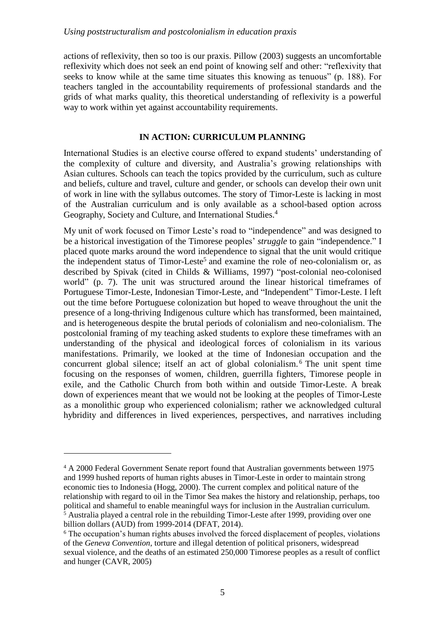actions of reflexivity, then so too is our praxis. Pillow (2003) suggests an uncomfortable reflexivity which does not seek an end point of knowing self and other: "reflexivity that seeks to know while at the same time situates this knowing as tenuous" (p. 188). For teachers tangled in the accountability requirements of professional standards and the grids of what marks quality, this theoretical understanding of reflexivity is a powerful way to work within yet against accountability requirements.

# **IN ACTION: CURRICULUM PLANNING**

International Studies is an elective course offered to expand students' understanding of the complexity of culture and diversity, and Australia's growing relationships with Asian cultures. Schools can teach the topics provided by the curriculum, such as culture and beliefs, culture and travel, culture and gender, or schools can develop their own unit of work in line with the syllabus outcomes. The story of Timor-Leste is lacking in most of the Australian curriculum and is only available as a school-based option across Geography, Society and Culture, and International Studies.<sup>4</sup>

My unit of work focused on Timor Leste's road to "independence" and was designed to be a historical investigation of the Timorese peoples' *struggle* to gain "independence." I placed quote marks around the word independence to signal that the unit would critique the independent status of Timor-Leste<sup>5</sup> and examine the role of neo-colonialism or, as described by Spivak (cited in Childs & Williams, 1997) "post-colonial neo-colonised world" (p. 7). The unit was structured around the linear historical timeframes of Portuguese Timor-Leste, Indonesian Timor-Leste, and "Independent" Timor-Leste. I left out the time before Portuguese colonization but hoped to weave throughout the unit the presence of a long-thriving Indigenous culture which has transformed, been maintained, and is heterogeneous despite the brutal periods of colonialism and neo-colonialism. The postcolonial framing of my teaching asked students to explore these timeframes with an understanding of the physical and ideological forces of colonialism in its various manifestations. Primarily, we looked at the time of Indonesian occupation and the concurrent global silence; itself an act of global colonialism. <sup>6</sup> The unit spent time focusing on the responses of women, children, guerrilla fighters, Timorese people in exile, and the Catholic Church from both within and outside Timor-Leste. A break down of experiences meant that we would not be looking at the peoples of Timor-Leste as a monolithic group who experienced colonialism; rather we acknowledged cultural hybridity and differences in lived experiences, perspectives, and narratives including

-

<sup>4</sup> A 2000 Federal Government Senate report found that Australian governments between 1975 and 1999 hushed reports of human rights abuses in Timor-Leste in order to maintain strong economic ties to Indonesia (Hogg, 2000). The current complex and political nature of the relationship with regard to oil in the Timor Sea makes the history and relationship, perhaps, too political and shameful to enable meaningful ways for inclusion in the Australian curriculum.  $<sup>5</sup>$  Australia played a central role in the rebuilding Timor-Leste after 1999, providing over one</sup> billion dollars (AUD) from 1999-2014 (DFAT, 2014).

<sup>&</sup>lt;sup>6</sup> The occupation's human rights abuses involved the forced displacement of peoples, violations of the *Geneva Convention*, torture and illegal detention of political prisoners, widespread sexual violence, and the deaths of an estimated 250,000 Timorese peoples as a result of conflict and hunger (CAVR, 2005)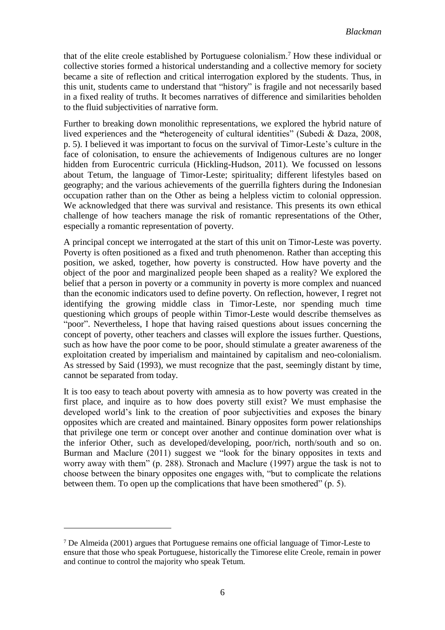that of the elite creole established by Portuguese colonialism. <sup>7</sup> How these individual or collective stories formed a historical understanding and a collective memory for society became a site of reflection and critical interrogation explored by the students. Thus, in this unit, students came to understand that "history" is fragile and not necessarily based in a fixed reality of truths. It becomes narratives of difference and similarities beholden to the fluid subjectivities of narrative form.

Further to breaking down monolithic representations, we explored the hybrid nature of lived experiences and the **"**heterogeneity of cultural identities" (Subedi & Daza, 2008, p. 5). I believed it was important to focus on the survival of Timor-Leste's culture in the face of colonisation, to ensure the achievements of Indigenous cultures are no longer hidden from Eurocentric curricula (Hickling-Hudson, 2011). We focussed on lessons about Tetum, the language of Timor-Leste; spirituality; different lifestyles based on geography; and the various achievements of the guerrilla fighters during the Indonesian occupation rather than on the Other as being a helpless victim to colonial oppression. We acknowledged that there was survival and resistance. This presents its own ethical challenge of how teachers manage the risk of romantic representations of the Other, especially a romantic representation of poverty.

A principal concept we interrogated at the start of this unit on Timor-Leste was poverty. Poverty is often positioned as a fixed and truth phenomenon. Rather than accepting this position, we asked, together, how poverty is constructed. How have poverty and the object of the poor and marginalized people been shaped as a reality? We explored the belief that a person in poverty or a community in poverty is more complex and nuanced than the economic indicators used to define poverty. On reflection, however, I regret not identifying the growing middle class in Timor-Leste, nor spending much time questioning which groups of people within Timor-Leste would describe themselves as "poor". Nevertheless, I hope that having raised questions about issues concerning the concept of poverty, other teachers and classes will explore the issues further. Questions, such as how have the poor come to be poor, should stimulate a greater awareness of the exploitation created by imperialism and maintained by capitalism and neo-colonialism. As stressed by Said (1993), we must recognize that the past, seemingly distant by time, cannot be separated from today.

It is too easy to teach about poverty with amnesia as to how poverty was created in the first place, and inquire as to how does poverty still exist? We must emphasise the developed world's link to the creation of poor subjectivities and exposes the binary opposites which are created and maintained. Binary opposites form power relationships that privilege one term or concept over another and continue domination over what is the inferior Other, such as developed/developing, poor/rich, north/south and so on. Burman and Maclure (2011) suggest we "look for the binary opposites in texts and worry away with them" (p. 288). Stronach and Maclure (1997) argue the task is not to choose between the binary opposites one engages with, "but to complicate the relations between them. To open up the complications that have been smothered" (p. 5).

-

<sup>7</sup> De Almeida (2001) argues that Portuguese remains one official language of Timor-Leste to ensure that those who speak Portuguese, historically the Timorese elite Creole, remain in power and continue to control the majority who speak Tetum.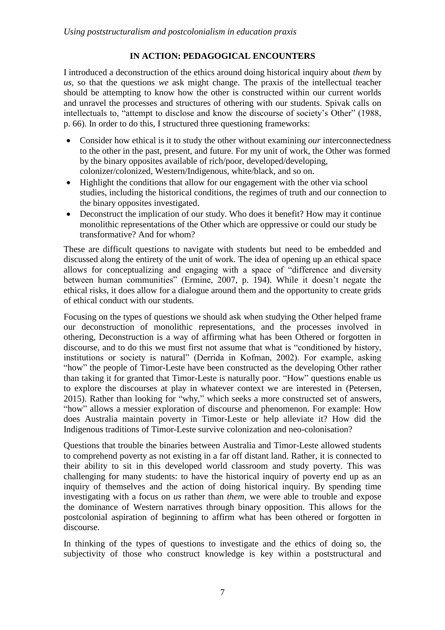# **IN ACTION: PEDAGOGICAL ENCOUNTERS**

I introduced a deconstruction of the ethics around doing historical inquiry about *them* by *us,* so that the questions *we* ask might change. The praxis of the intellectual teacher should be attempting to know how the other is constructed within our current worlds and unravel the processes and structures of othering with our students. Spivak calls on intellectuals to, "attempt to disclose and know the discourse of society's Other" (1988, p. 66). In order to do this, I structured three questioning frameworks:

- Consider how ethical is it to study the other without examining *our* interconnectedness to the other in the past, present, and future. For my unit of work, the Other was formed by the binary opposites available of rich/poor, developed/developing, colonizer/colonized, Western/Indigenous, white/black, and so on.
- Highlight the conditions that allow for our engagement with the other via school studies, including the historical conditions, the regimes of truth and our connection to the binary opposites investigated.
- Deconstruct the implication of our study. Who does it benefit? How may it continue monolithic representations of the Other which are oppressive or could our study be transformative? And for whom?

These are difficult questions to navigate with students but need to be embedded and discussed along the entirety of the unit of work. The idea of opening up an ethical space allows for conceptualizing and engaging with a space of "difference and diversity between human communities" (Ermine, 2007, p. 194). While it doesn't negate the ethical risks, it does allow for a dialogue around them and the opportunity to create grids of ethical conduct with our students.

Focusing on the types of questions we should ask when studying the Other helped frame our deconstruction of monolithic representations, and the processes involved in othering, Deconstruction is a way of affirming what has been Othered or forgotten in discourse, and to do this we must first not assume that what is "conditioned by history, institutions or society is natural" (Derrida in Kofman, 2002). For example, asking "how" the people of Timor-Leste have been constructed as the developing Other rather than taking it for granted that Timor-Leste is naturally poor. "How" questions enable us to explore the discourses at play in whatever context we are interested in (Petersen, 2015). Rather than looking for "why," which seeks a more constructed set of answers, "how" allows a messier exploration of discourse and phenomenon. For example: How does Australia maintain poverty in Timor-Leste or help alleviate it? How did the Indigenous traditions of Timor-Leste survive colonization and neo-colonisation?

Questions that trouble the binaries between Australia and Timor-Leste allowed students to comprehend poverty as not existing in a far off distant land. Rather, it is connected to their ability to sit in this developed world classroom and study poverty. This was challenging for many students: to have the historical inquiry of poverty end up as an inquiry of themselves and the action of doing historical inquiry. By spending time investigating with a focus on *us* rather than *them*, we were able to trouble and expose the dominance of Western narratives through binary opposition. This allows for the postcolonial aspiration of beginning to affirm what has been othered or forgotten in discourse.

In thinking of the types of questions to investigate and the ethics of doing so, the subjectivity of those who construct knowledge is key within a poststructural and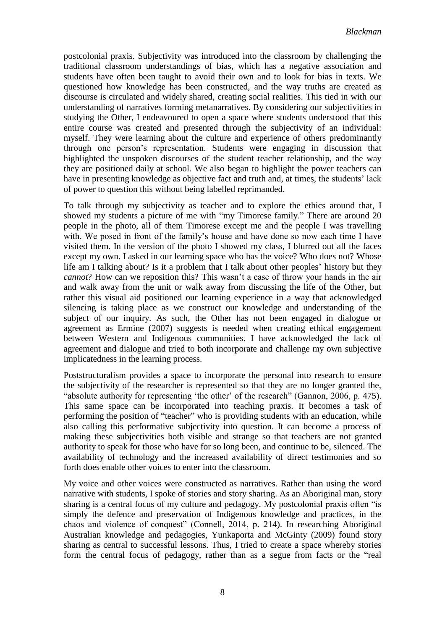postcolonial praxis. Subjectivity was introduced into the classroom by challenging the traditional classroom understandings of bias, which has a negative association and students have often been taught to avoid their own and to look for bias in texts. We questioned how knowledge has been constructed, and the way truths are created as discourse is circulated and widely shared, creating social realities. This tied in with our understanding of narratives forming metanarratives. By considering our subjectivities in studying the Other, I endeavoured to open a space where students understood that this entire course was created and presented through the subjectivity of an individual: myself. They were learning about the culture and experience of others predominantly through one person's representation. Students were engaging in discussion that highlighted the unspoken discourses of the student teacher relationship, and the way they are positioned daily at school. We also began to highlight the power teachers can have in presenting knowledge as objective fact and truth and, at times, the students' lack of power to question this without being labelled reprimanded.

To talk through my subjectivity as teacher and to explore the ethics around that, I showed my students a picture of me with "my Timorese family." There are around 20 people in the photo, all of them Timorese except me and the people I was travelling with. We posed in front of the family's house and have done so now each time I have visited them. In the version of the photo I showed my class, I blurred out all the faces except my own. I asked in our learning space who has the voice? Who does not? Whose life am I talking about? Is it a problem that I talk about other peoples' history but they *cannot*? How can we reposition this? This wasn't a case of throw your hands in the air and walk away from the unit or walk away from discussing the life of the Other, but rather this visual aid positioned our learning experience in a way that acknowledged silencing is taking place as we construct our knowledge and understanding of the subject of our inquiry. As such, the Other has not been engaged in dialogue or agreement as Ermine (2007) suggests is needed when creating ethical engagement between Western and Indigenous communities. I have acknowledged the lack of agreement and dialogue and tried to both incorporate and challenge my own subjective implicatedness in the learning process.

Poststructuralism provides a space to incorporate the personal into research to ensure the subjectivity of the researcher is represented so that they are no longer granted the, "absolute authority for representing 'the other' of the research" (Gannon, 2006, p. 475). This same space can be incorporated into teaching praxis. It becomes a task of performing the position of "teacher" who is providing students with an education, while also calling this performative subjectivity into question. It can become a process of making these subjectivities both visible and strange so that teachers are not granted authority to speak for those who have for so long been, and continue to be, silenced. The availability of technology and the increased availability of direct testimonies and so forth does enable other voices to enter into the classroom.

My voice and other voices were constructed as narratives. Rather than using the word narrative with students, I spoke of stories and story sharing. As an Aboriginal man, story sharing is a central focus of my culture and pedagogy. My postcolonial praxis often "is simply the defence and preservation of Indigenous knowledge and practices, in the chaos and violence of conquest" (Connell, 2014, p. 214). In researching Aboriginal Australian knowledge and pedagogies, Yunkaporta and McGinty (2009) found story sharing as central to successful lessons. Thus, I tried to create a space whereby stories form the central focus of pedagogy, rather than as a segue from facts or the "real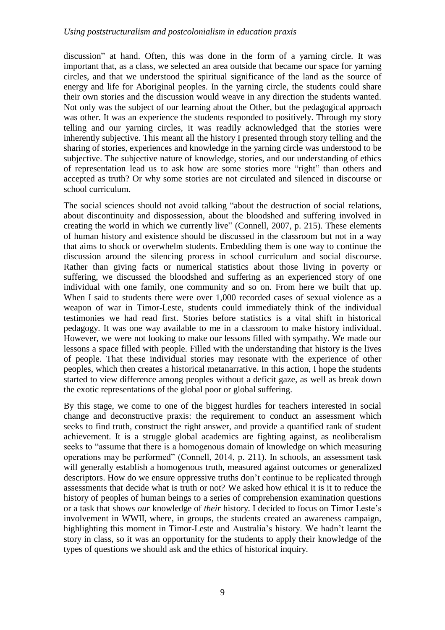## *Using poststructuralism and postcolonialism in education praxis*

discussion" at hand. Often, this was done in the form of a yarning circle. It was important that, as a class, we selected an area outside that became our space for yarning circles, and that we understood the spiritual significance of the land as the source of energy and life for Aboriginal peoples. In the yarning circle, the students could share their own stories and the discussion would weave in any direction the students wanted. Not only was the subject of our learning about the Other, but the pedagogical approach was other. It was an experience the students responded to positively. Through my story telling and our yarning circles, it was readily acknowledged that the stories were inherently subjective. This meant all the history I presented through story telling and the sharing of stories, experiences and knowledge in the yarning circle was understood to be subjective. The subjective nature of knowledge, stories, and our understanding of ethics of representation lead us to ask how are some stories more "right" than others and accepted as truth? Or why some stories are not circulated and silenced in discourse or school curriculum.

The social sciences should not avoid talking "about the destruction of social relations, about discontinuity and dispossession, about the bloodshed and suffering involved in creating the world in which we currently live" (Connell, 2007, p. 215). These elements of human history and existence should be discussed in the classroom but not in a way that aims to shock or overwhelm students. Embedding them is one way to continue the discussion around the silencing process in school curriculum and social discourse. Rather than giving facts or numerical statistics about those living in poverty or suffering, we discussed the bloodshed and suffering as an experienced story of one individual with one family, one community and so on. From here we built that up. When I said to students there were over 1,000 recorded cases of sexual violence as a weapon of war in Timor-Leste, students could immediately think of the individual testimonies we had read first. Stories before statistics is a vital shift in historical pedagogy. It was one way available to me in a classroom to make history individual. However, we were not looking to make our lessons filled with sympathy. We made our lessons a space filled with people. Filled with the understanding that history is the lives of people. That these individual stories may resonate with the experience of other peoples, which then creates a historical metanarrative. In this action, I hope the students started to view difference among peoples without a deficit gaze, as well as break down the exotic representations of the global poor or global suffering.

By this stage, we come to one of the biggest hurdles for teachers interested in social change and deconstructive praxis: the requirement to conduct an assessment which seeks to find truth, construct the right answer, and provide a quantified rank of student achievement. It is a struggle global academics are fighting against, as neoliberalism seeks to "assume that there is a homogenous domain of knowledge on which measuring operations may be performed" (Connell, 2014, p. 211). In schools, an assessment task will generally establish a homogenous truth, measured against outcomes or generalized descriptors. How do we ensure oppressive truths don't continue to be replicated through assessments that decide what is truth or not? We asked how ethical it is it to reduce the history of peoples of human beings to a series of comprehension examination questions or a task that shows *our* knowledge of *their* history. I decided to focus on Timor Leste's involvement in WWII, where, in groups, the students created an awareness campaign, highlighting this moment in Timor-Leste and Australia's history. We hadn't learnt the story in class, so it was an opportunity for the students to apply their knowledge of the types of questions we should ask and the ethics of historical inquiry.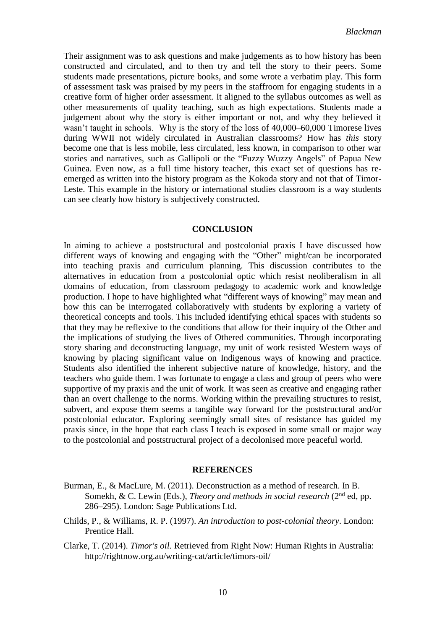Their assignment was to ask questions and make judgements as to how history has been constructed and circulated, and to then try and tell the story to their peers. Some students made presentations, picture books, and some wrote a verbatim play. This form of assessment task was praised by my peers in the staffroom for engaging students in a creative form of higher order assessment. It aligned to the syllabus outcomes as well as other measurements of quality teaching, such as high expectations. Students made a judgement about why the story is either important or not, and why they believed it wasn't taught in schools. Why is the story of the loss of 40,000–60,000 Timorese lives during WWII not widely circulated in Australian classrooms? How has *this* story become one that is less mobile, less circulated, less known, in comparison to other war stories and narratives, such as Gallipoli or the "Fuzzy Wuzzy Angels" of Papua New Guinea. Even now, as a full time history teacher, this exact set of questions has reemerged as written into the history program as the Kokoda story and not that of Timor-Leste. This example in the history or international studies classroom is a way students can see clearly how history is subjectively constructed.

#### **CONCLUSION**

In aiming to achieve a poststructural and postcolonial praxis I have discussed how different ways of knowing and engaging with the "Other" might/can be incorporated into teaching praxis and curriculum planning. This discussion contributes to the alternatives in education from a postcolonial optic which resist neoliberalism in all domains of education, from classroom pedagogy to academic work and knowledge production. I hope to have highlighted what "different ways of knowing" may mean and how this can be interrogated collaboratively with students by exploring a variety of theoretical concepts and tools. This included identifying ethical spaces with students so that they may be reflexive to the conditions that allow for their inquiry of the Other and the implications of studying the lives of Othered communities. Through incorporating story sharing and deconstructing language, my unit of work resisted Western ways of knowing by placing significant value on Indigenous ways of knowing and practice. Students also identified the inherent subjective nature of knowledge, history, and the teachers who guide them. I was fortunate to engage a class and group of peers who were supportive of my praxis and the unit of work. It was seen as creative and engaging rather than an overt challenge to the norms. Working within the prevailing structures to resist, subvert, and expose them seems a tangible way forward for the poststructural and/or postcolonial educator. Exploring seemingly small sites of resistance has guided my praxis since, in the hope that each class I teach is exposed in some small or major way to the postcolonial and poststructural project of a decolonised more peaceful world.

## **REFERENCES**

- Burman, E., & MacLure, M. (2011). Deconstruction as a method of research. In B. Somekh, & C. Lewin (Eds.), *Theory and methods in social research* (2<sup>nd</sup> ed, pp. 286–295). London: Sage Publications Ltd.
- Childs, P., & Williams, R. P. (1997). *An introduction to post-colonial theory*. London: Prentice Hall.
- Clarke, T. (2014). *Timor's oil.* Retrieved from Right Now: Human Rights in Australia: http://rightnow.org.au/writing-cat/article/timors-oil/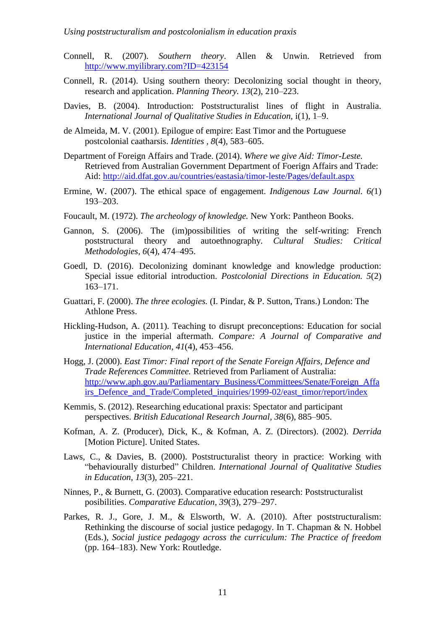## *Using poststructuralism and postcolonialism in education praxis*

- Connell, R. (2007). *Southern theory*. Allen & Unwin. Retrieved from [http://www.myilibrary.com?ID=423154](http://www.myilibrary.com/?ID=423154)
- Connell, R. (2014). Using southern theory: Decolonizing social thought in theory, research and application. *Planning Theory. 13*(2), 210–223.
- Davies, B. (2004). Introduction: Poststructuralist lines of flight in Australia. *International Journal of Qualitative Studies in Education,* i(1), 1–9.
- de Almeida, M. V. (2001). Epilogue of empire: East Timor and the Portuguese postcolonial caatharsis. *Identities , 8*(4), 583–605.
- Department of Foreign Affairs and Trade. (2014). *Where we give Aid: Timor-Leste.* Retrieved from Australian Government Department of Foerign Affairs and Trade: Aid:<http://aid.dfat.gov.au/countries/eastasia/timor-leste/Pages/default.aspx>
- Ermine, W. (2007). The ethical space of engagement. *Indigenous Law Journal. 6(*1) 193–203.
- Foucault, M. (1972). *The archeology of knowledge.* New York: Pantheon Books.
- Gannon, S. (2006). The (im)possibilities of writing the self-writing: French poststructural theory and autoethnography. *Cultural Studies: Critical Methodologies, 6*(4), 474–495.
- Goedl, D. (2016). Decolonizing dominant knowledge and knowledge production: Special issue editorial introduction. *Postcolonial Directions in Education. 5*(2) 163–171.
- Guattari, F. (2000). *The three ecologies.* (I. Pindar, & P. Sutton, Trans.) London: The Athlone Press.
- Hickling-Hudson, A. (2011). Teaching to disrupt preconceptions: Education for social justice in the imperial aftermath. *Compare: A Journal of Comparative and International Education, 41*(4), 453–456.
- Hogg, J. (2000). *East Timor: Final report of the Senate Foreign Affairs, Defence and Trade References Committee.* Retrieved from Parliament of Australia: [http://www.aph.gov.au/Parliamentary\\_Business/Committees/Senate/Foreign\\_Affa](http://www.aph.gov.au/Parliamentary_Business/Committees/Senate/Foreign_Affairs_Defence_and_Trade/Completed_inquiries/1999-02/east_timor/report/index) [irs\\_Defence\\_and\\_Trade/Completed\\_inquiries/1999-02/east\\_timor/report/index](http://www.aph.gov.au/Parliamentary_Business/Committees/Senate/Foreign_Affairs_Defence_and_Trade/Completed_inquiries/1999-02/east_timor/report/index)
- Kemmis, S. (2012). Researching educational praxis: Spectator and participant perspectives. *British Educational Research Journal, 38*(6), 885–905.
- Kofman, A. Z. (Producer), Dick, K., & Kofman, A. Z. (Directors). (2002). *Derrida* [Motion Picture]. United States.
- Laws, C., & Davies, B. (2000). Poststructuralist theory in practice: Working with "behaviourally disturbed" Children. *International Journal of Qualitative Studies in Education*, *13*(3), 205–221.
- Ninnes, P., & Burnett, G. (2003). Comparative education research: Poststructuralist posibilities. *Comparative Education, 39*(3), 279–297.
- Parkes, R. J., Gore, J. M., & Elsworth, W. A. (2010). After poststructuralism: Rethinking the discourse of social justice pedagogy. In T. Chapman & N. Hobbel (Eds.), *Social justice pedagogy across the curriculum: The Practice of freedom*  (pp. 164–183). New York: Routledge.